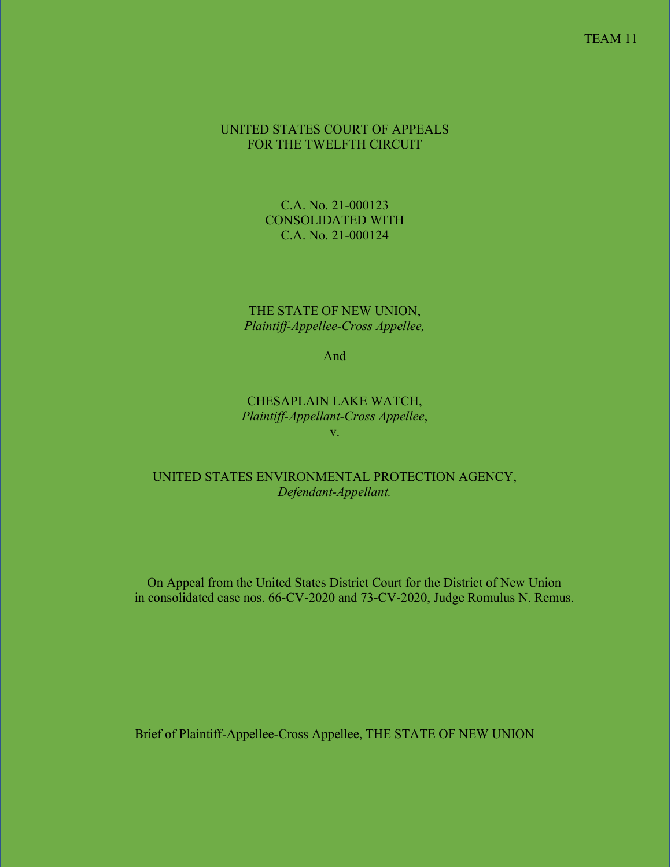### UNITED STATES COURT OF APPEALS FOR THE TWELFTH CIRCUIT

C.A. No. 21-000123 CONSOLIDATED WITH C.A. No. 21-000124

THE STATE OF NEW UNION, *Plaintiff-Appellee-Cross Appellee,*

And

CHESAPLAIN LAKE WATCH, *Plaintiff-Appellant-Cross Appellee*, v.

### UNITED STATES ENVIRONMENTAL PROTECTION AGENCY, *Defendant-Appellant.*

On Appeal from the United States District Court for the District of New Union in consolidated case nos. 66-CV-2020 and 73-CV-2020, Judge Romulus N. Remus.

Brief of Plaintiff-Appellee-Cross Appellee, THE STATE OF NEW UNION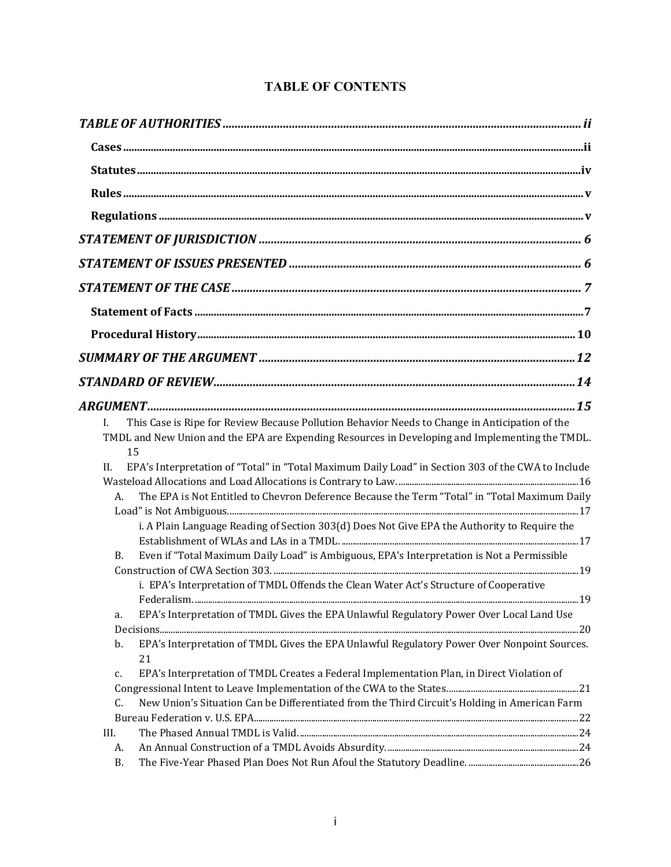|           | This Case is Ripe for Review Because Pollution Behavior Needs to Change in Anticipation of the     |  |
|-----------|----------------------------------------------------------------------------------------------------|--|
|           | TMDL and New Union and the EPA are Expending Resources in Developing and Implementing the TMDL.    |  |
|           | 15                                                                                                 |  |
| II.       | EPA's Interpretation of "Total" in "Total Maximum Daily Load" in Section 303 of the CWA to Include |  |
|           |                                                                                                    |  |
| А.        | The EPA is Not Entitled to Chevron Deference Because the Term "Total" in "Total Maximum Daily      |  |
|           |                                                                                                    |  |
|           | i. A Plain Language Reading of Section 303(d) Does Not Give EPA the Authority to Require the       |  |
|           |                                                                                                    |  |
| В.        | Even if "Total Maximum Daily Load" is Ambiguous, EPA's Interpretation is Not a Permissible         |  |
|           |                                                                                                    |  |
|           | i. EPA's Interpretation of TMDL Offends the Clean Water Act's Structure of Cooperative             |  |
|           |                                                                                                    |  |
| a.        | EPA's Interpretation of TMDL Gives the EPA Unlawful Regulatory Power Over Local Land Use           |  |
|           |                                                                                                    |  |
| b.        | EPA's Interpretation of TMDL Gives the EPA Unlawful Regulatory Power Over Nonpoint Sources.        |  |
|           | 21                                                                                                 |  |
| c.        | EPA's Interpretation of TMDL Creates a Federal Implementation Plan, in Direct Violation of         |  |
|           |                                                                                                    |  |
| C.        | New Union's Situation Can be Differentiated from the Third Circuit's Holding in American Farm      |  |
|           |                                                                                                    |  |
| III.      |                                                                                                    |  |
| A.        |                                                                                                    |  |
| <b>B.</b> |                                                                                                    |  |

# **TABLE OF CONTENTS**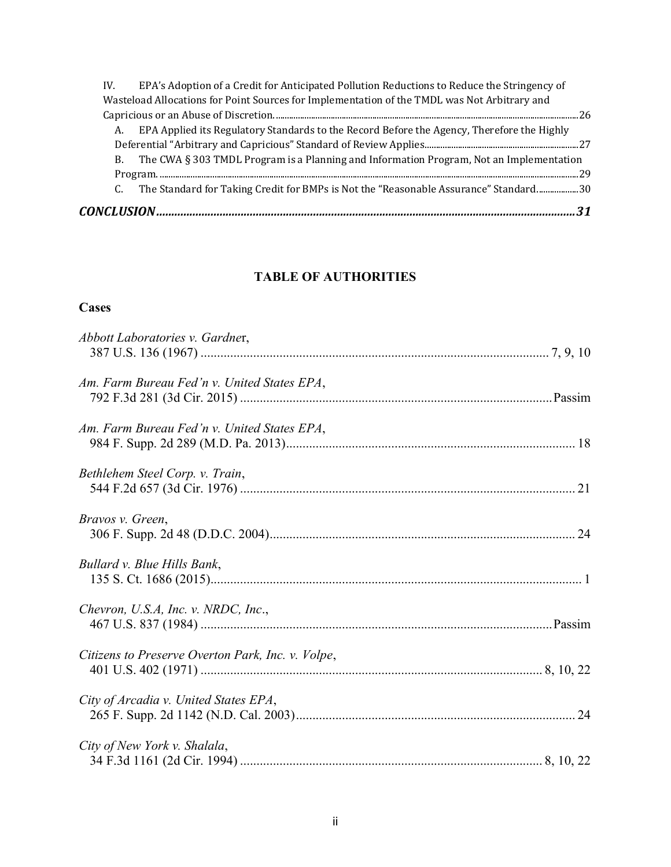| IV. | EPA's Adoption of a Credit for Anticipated Pollution Reductions to Reduce the Stringency of  |      |
|-----|----------------------------------------------------------------------------------------------|------|
|     | Wasteload Allocations for Point Sources for Implementation of the TMDL was Not Arbitrary and |      |
|     |                                                                                              | - 26 |
| А.  | EPA Applied its Regulatory Standards to the Record Before the Agency, Therefore the Highly   |      |
|     |                                                                                              |      |
| В.  | The CWA § 303 TMDL Program is a Planning and Information Program, Not an Implementation      |      |
|     |                                                                                              | - 20 |
|     | The Standard for Taking Credit for BMPs is Not the "Reasonable Assurance" Standard30         |      |
|     |                                                                                              |      |

# **TABLE OF AUTHORITIES**

# <span id="page-2-1"></span><span id="page-2-0"></span>**Cases**

| Abbott Laboratories v. Gardner,                   |
|---------------------------------------------------|
| Am. Farm Bureau Fed'n v. United States EPA,       |
| Am. Farm Bureau Fed'n v. United States EPA,       |
| Bethlehem Steel Corp. v. Train,                   |
| Bravos v. Green,                                  |
| Bullard v. Blue Hills Bank,                       |
| Chevron, U.S.A, Inc. v. NRDC, Inc.,               |
| Citizens to Preserve Overton Park, Inc. v. Volpe, |
| City of Arcadia v. United States EPA,             |
| City of New York v. Shalala,                      |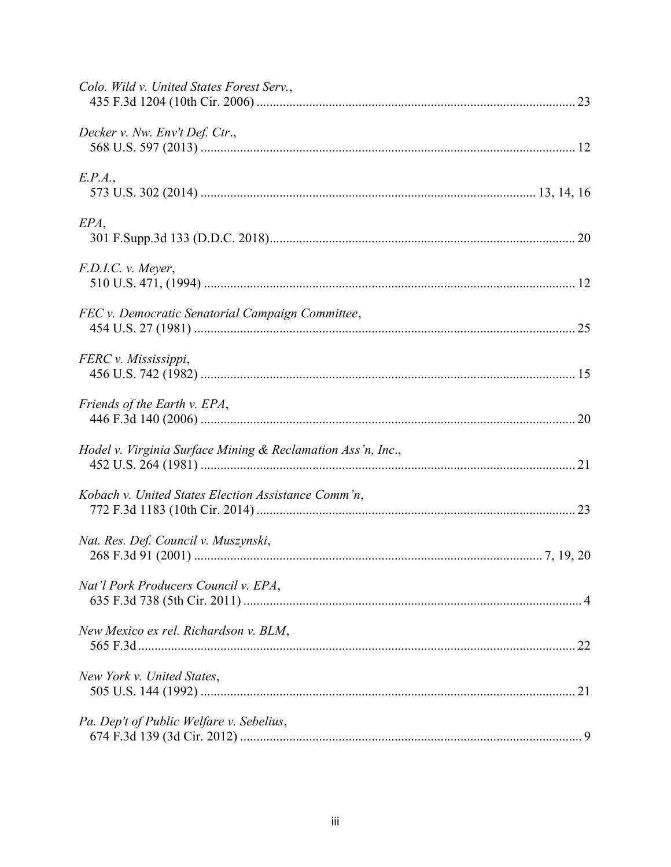| Colo. Wild v. United States Forest Serv.,                   |  |
|-------------------------------------------------------------|--|
| Decker v. Nw. Env't Def. Ctr.,                              |  |
| E.P.A.,                                                     |  |
| EPA,                                                        |  |
| F.D.I.C. v. Meyer,                                          |  |
| FEC v. Democratic Senatorial Campaign Committee,            |  |
| FERC v. Mississippi,                                        |  |
| Friends of the Earth v. EPA,                                |  |
| Hodel v. Virginia Surface Mining & Reclamation Ass'n, Inc., |  |
| Kobach v. United States Election Assistance Comm'n,         |  |
| Nat. Res. Def. Council v. Muszynski,                        |  |
| Nat'l Pork Producers Council v. EPA,                        |  |
| New Mexico ex rel. Richardson v. BLM,                       |  |
| New York v. United States,                                  |  |
| Pa. Dep't of Public Welfare v. Sebelius,                    |  |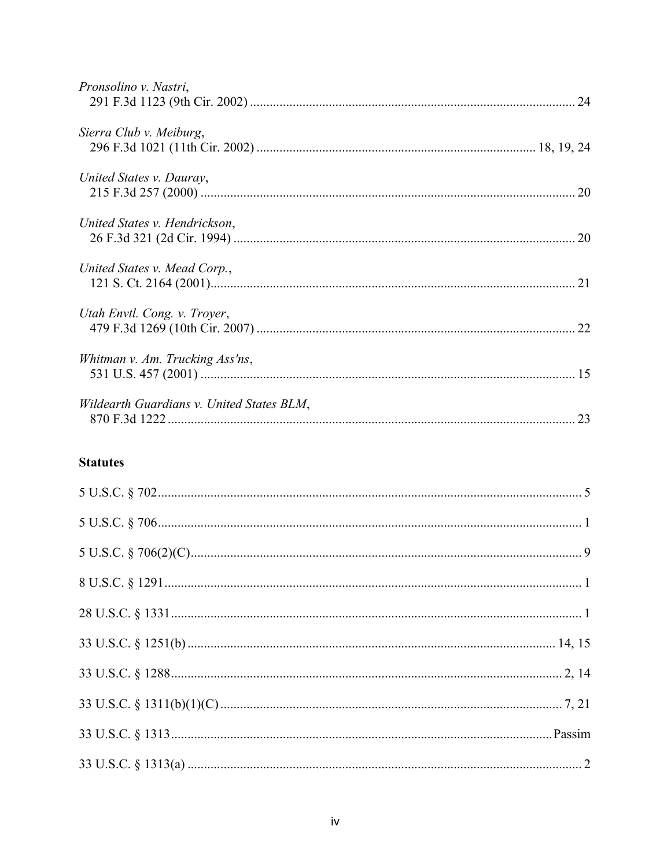| Pronsolino v. Nastri,                     |  |
|-------------------------------------------|--|
| Sierra Club v. Meiburg,                   |  |
| United States v. Dauray,                  |  |
| United States v. Hendrickson,             |  |
| United States v. Mead Corp.,              |  |
| Utah Envtl. Cong. v. Troyer,              |  |
| Whitman v. Am. Trucking Ass'ns,           |  |
| Wildearth Guardians v. United States BLM, |  |
| <b>Statutes</b>                           |  |
|                                           |  |
|                                           |  |

<span id="page-4-0"></span>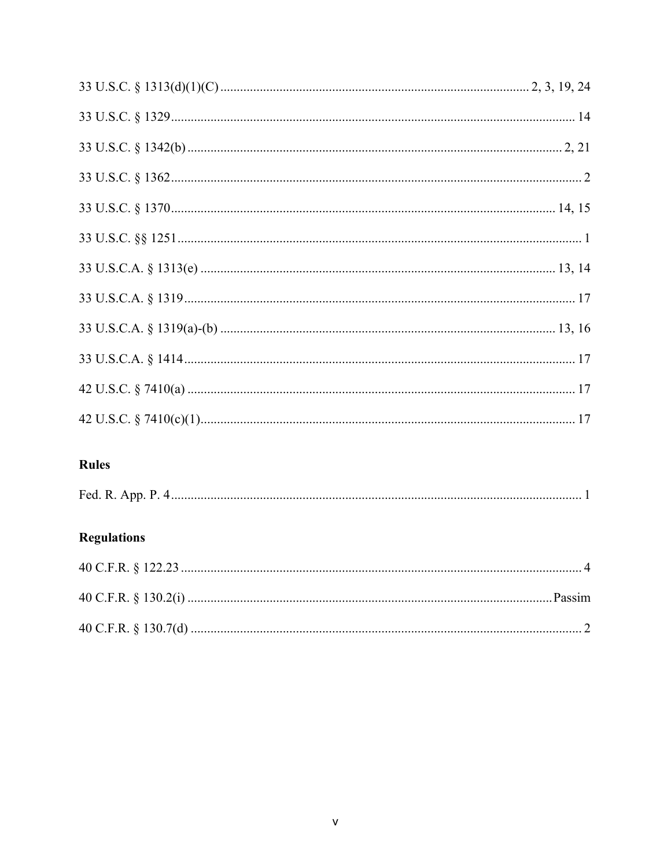# <span id="page-5-0"></span>Rules

| Fed. K.<br>.<br>$\overline{\phantom{0}}$ |  |
|------------------------------------------|--|
|------------------------------------------|--|

## <span id="page-5-1"></span>**Regulations**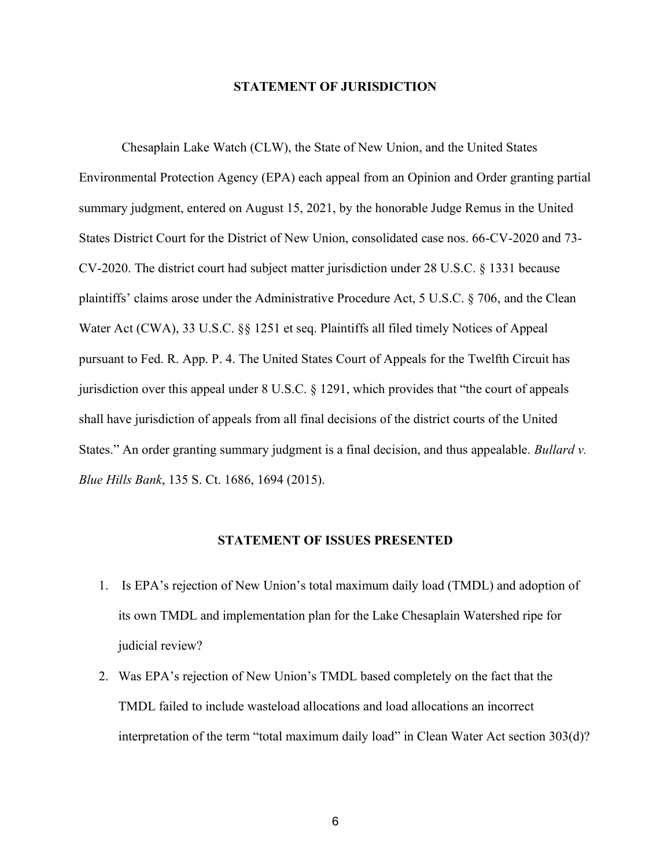#### **STATEMENT OF JURISDICTION**

<span id="page-6-0"></span>Chesaplain Lake Watch (CLW), the State of New Union, and the United States Environmental Protection Agency (EPA) each appeal from an Opinion and Order granting partial summary judgment, entered on August 15, 2021, by the honorable Judge Remus in the United States District Court for the District of New Union, consolidated case nos. 66-CV-2020 and 73- CV-2020. The district court had subject matter jurisdiction under 28 U.S.C. § 1331 because plaintiffs' claims arose under the Administrative Procedure Act, 5 U.S.C. § 706, and the Clean Water Act (CWA), 33 U.S.C. §§ 1251 et seq. Plaintiffs all filed timely Notices of Appeal pursuant to Fed. R. App. P. 4. The United States Court of Appeals for the Twelfth Circuit has jurisdiction over this appeal under 8 U.S.C. § 1291, which provides that "the court of appeals shall have jurisdiction of appeals from all final decisions of the district courts of the United States." An order granting summary judgment is a final decision, and thus appealable. *Bullard v. Blue Hills Bank*, 135 S. Ct. 1686, 1694 (2015).

#### **STATEMENT OF ISSUES PRESENTED**

- <span id="page-6-1"></span>1. Is EPA's rejection of New Union's total maximum daily load (TMDL) and adoption of its own TMDL and implementation plan for the Lake Chesaplain Watershed ripe for judicial review?
- 2. Was EPA's rejection of New Union's TMDL based completely on the fact that the TMDL failed to include wasteload allocations and load allocations an incorrect interpretation of the term "total maximum daily load" in Clean Water Act section 303(d)?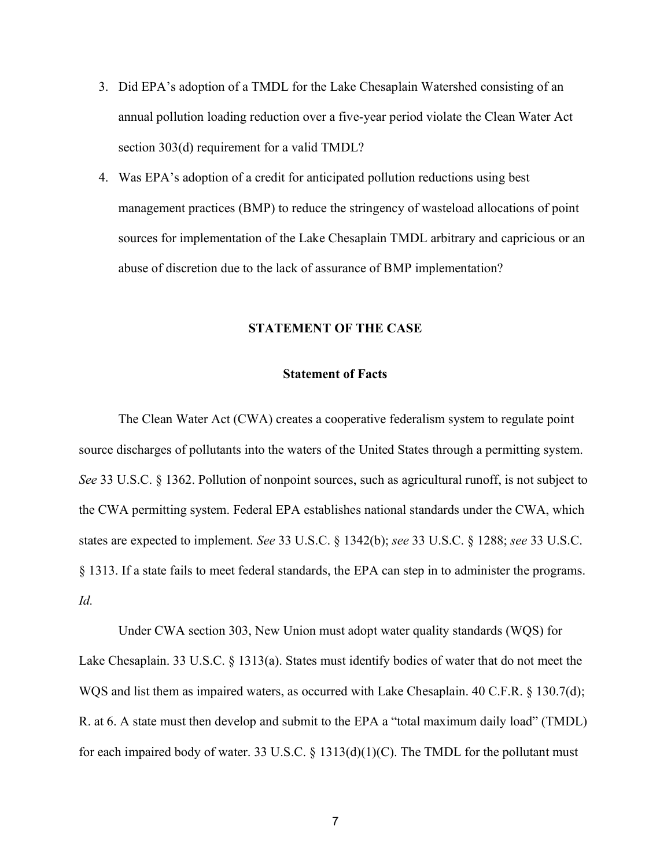- 3. Did EPA's adoption of a TMDL for the Lake Chesaplain Watershed consisting of an annual pollution loading reduction over a five-year period violate the Clean Water Act section 303(d) requirement for a valid TMDL?
- 4. Was EPA's adoption of a credit for anticipated pollution reductions using best management practices (BMP) to reduce the stringency of wasteload allocations of point sources for implementation of the Lake Chesaplain TMDL arbitrary and capricious or an abuse of discretion due to the lack of assurance of BMP implementation?

#### **STATEMENT OF THE CASE**

#### **Statement of Facts**

<span id="page-7-1"></span><span id="page-7-0"></span>The Clean Water Act (CWA) creates a cooperative federalism system to regulate point source discharges of pollutants into the waters of the United States through a permitting system. *See* 33 U.S.C. § 1362. Pollution of nonpoint sources, such as agricultural runoff, is not subject to the CWA permitting system. Federal EPA establishes national standards under the CWA, which states are expected to implement. *See* 33 U.S.C. § 1342(b); *see* 33 U.S.C. § 1288; *see* 33 U.S.C. § 1313. If a state fails to meet federal standards, the EPA can step in to administer the programs. *Id.*

Under CWA section 303, New Union must adopt water quality standards (WQS) for Lake Chesaplain. 33 U.S.C. § 1313(a). States must identify bodies of water that do not meet the WQS and list them as impaired waters, as occurred with Lake Chesaplain. 40 C.F.R. § 130.7(d); R. at 6. A state must then develop and submit to the EPA a "total maximum daily load" (TMDL) for each impaired body of water. 33 U.S.C. § 1313(d)(1)(C). The TMDL for the pollutant must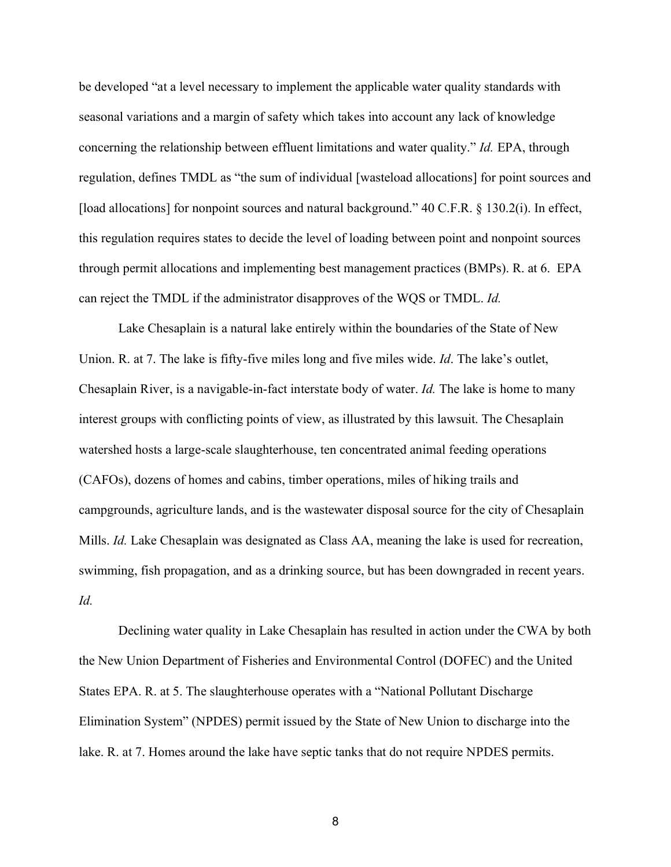be developed "at a level necessary to implement the applicable water quality standards with seasonal variations and a margin of safety which takes into account any lack of knowledge concerning the relationship between effluent limitations and water quality." *Id.* EPA, through regulation, defines TMDL as "the sum of individual [wasteload allocations] for point sources and [load allocations] for nonpoint sources and natural background." 40 C.F.R. § 130.2(i). In effect, this regulation requires states to decide the level of loading between point and nonpoint sources through permit allocations and implementing best management practices (BMPs). R. at 6. EPA can reject the TMDL if the administrator disapproves of the WQS or TMDL. *Id.*

Lake Chesaplain is a natural lake entirely within the boundaries of the State of New Union. R. at 7. The lake is fifty-five miles long and five miles wide. *Id*. The lake's outlet, Chesaplain River, is a navigable-in-fact interstate body of water. *Id.* The lake is home to many interest groups with conflicting points of view, as illustrated by this lawsuit. The Chesaplain watershed hosts a large-scale slaughterhouse, ten concentrated animal feeding operations (CAFOs), dozens of homes and cabins, timber operations, miles of hiking trails and campgrounds, agriculture lands, and is the wastewater disposal source for the city of Chesaplain Mills. *Id.* Lake Chesaplain was designated as Class AA, meaning the lake is used for recreation, swimming, fish propagation, and as a drinking source, but has been downgraded in recent years. *Id.* 

Declining water quality in Lake Chesaplain has resulted in action under the CWA by both the New Union Department of Fisheries and Environmental Control (DOFEC) and the United States EPA. R. at 5. The slaughterhouse operates with a "National Pollutant Discharge Elimination System" (NPDES) permit issued by the State of New Union to discharge into the lake. R. at 7. Homes around the lake have septic tanks that do not require NPDES permits.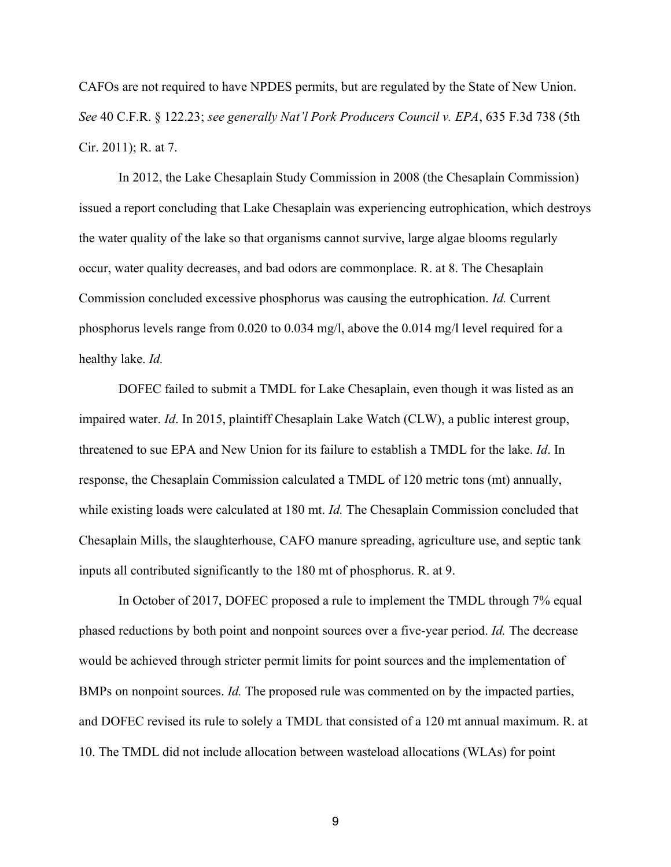CAFOs are not required to have NPDES permits, but are regulated by the State of New Union. *See* 40 C.F.R. § 122.23; *see generally Nat'l Pork Producers Council v. EPA*, 635 F.3d 738 (5th Cir. 2011); R. at 7.

In 2012, the Lake Chesaplain Study Commission in 2008 (the Chesaplain Commission) issued a report concluding that Lake Chesaplain was experiencing eutrophication, which destroys the water quality of the lake so that organisms cannot survive, large algae blooms regularly occur, water quality decreases, and bad odors are commonplace. R. at 8. The Chesaplain Commission concluded excessive phosphorus was causing the eutrophication. *Id.* Current phosphorus levels range from 0.020 to 0.034 mg/l, above the 0.014 mg/l level required for a healthy lake. *Id.*

DOFEC failed to submit a TMDL for Lake Chesaplain, even though it was listed as an impaired water. *Id*. In 2015, plaintiff Chesaplain Lake Watch (CLW), a public interest group, threatened to sue EPA and New Union for its failure to establish a TMDL for the lake. *Id*. In response, the Chesaplain Commission calculated a TMDL of 120 metric tons (mt) annually, while existing loads were calculated at 180 mt. *Id.* The Chesaplain Commission concluded that Chesaplain Mills, the slaughterhouse, CAFO manure spreading, agriculture use, and septic tank inputs all contributed significantly to the 180 mt of phosphorus. R. at 9.

In October of 2017, DOFEC proposed a rule to implement the TMDL through 7% equal phased reductions by both point and nonpoint sources over a five-year period. *Id.* The decrease would be achieved through stricter permit limits for point sources and the implementation of BMPs on nonpoint sources. *Id.* The proposed rule was commented on by the impacted parties, and DOFEC revised its rule to solely a TMDL that consisted of a 120 mt annual maximum. R. at 10. The TMDL did not include allocation between wasteload allocations (WLAs) for point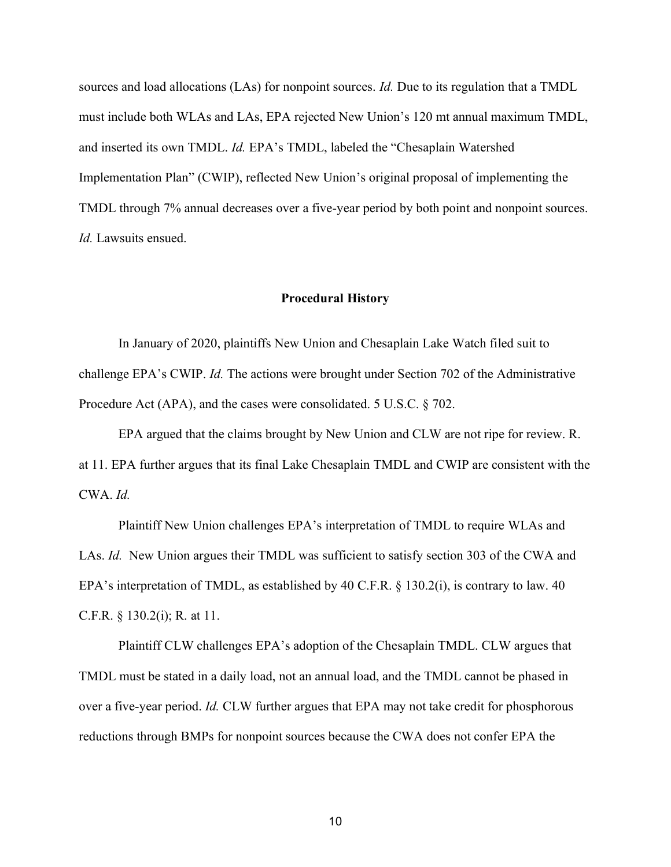sources and load allocations (LAs) for nonpoint sources. *Id.* Due to its regulation that a TMDL must include both WLAs and LAs, EPA rejected New Union's 120 mt annual maximum TMDL, and inserted its own TMDL. *Id.* EPA's TMDL, labeled the "Chesaplain Watershed Implementation Plan" (CWIP), reflected New Union's original proposal of implementing the TMDL through 7% annual decreases over a five-year period by both point and nonpoint sources. *Id.* Lawsuits ensued.

#### **Procedural History**

<span id="page-10-0"></span>In January of 2020, plaintiffs New Union and Chesaplain Lake Watch filed suit to challenge EPA's CWIP. *Id.* The actions were brought under Section 702 of the Administrative Procedure Act (APA), and the cases were consolidated. 5 U.S.C. § 702.

EPA argued that the claims brought by New Union and CLW are not ripe for review. R. at 11. EPA further argues that its final Lake Chesaplain TMDL and CWIP are consistent with the CWA. *Id.* 

Plaintiff New Union challenges EPA's interpretation of TMDL to require WLAs and LAs. *Id.* New Union argues their TMDL was sufficient to satisfy section 303 of the CWA and EPA's interpretation of TMDL, as established by 40 C.F.R. § 130.2(i), is contrary to law. 40 C.F.R. § 130.2(i); R. at 11.

Plaintiff CLW challenges EPA's adoption of the Chesaplain TMDL. CLW argues that TMDL must be stated in a daily load, not an annual load, and the TMDL cannot be phased in over a five-year period. *Id.* CLW further argues that EPA may not take credit for phosphorous reductions through BMPs for nonpoint sources because the CWA does not confer EPA the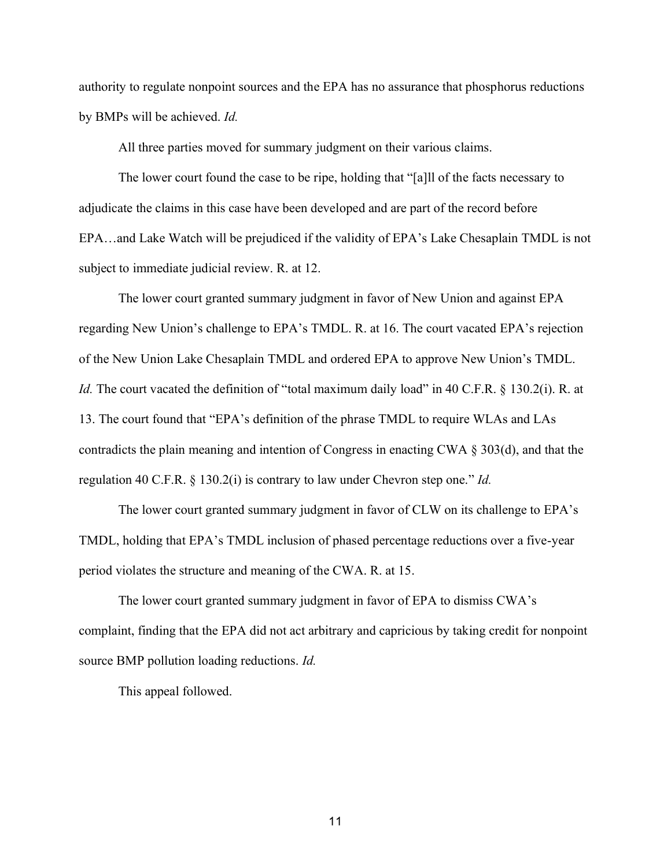authority to regulate nonpoint sources and the EPA has no assurance that phosphorus reductions by BMPs will be achieved. *Id.*

All three parties moved for summary judgment on their various claims.

The lower court found the case to be ripe, holding that "[a]ll of the facts necessary to adjudicate the claims in this case have been developed and are part of the record before EPA…and Lake Watch will be prejudiced if the validity of EPA's Lake Chesaplain TMDL is not subject to immediate judicial review. R. at 12.

The lower court granted summary judgment in favor of New Union and against EPA regarding New Union's challenge to EPA's TMDL. R. at 16. The court vacated EPA's rejection of the New Union Lake Chesaplain TMDL and ordered EPA to approve New Union's TMDL. *Id.* The court vacated the definition of "total maximum daily load" in 40 C.F.R. § 130.2(i). R. at 13. The court found that "EPA's definition of the phrase TMDL to require WLAs and LAs contradicts the plain meaning and intention of Congress in enacting CWA § 303(d), and that the regulation 40 C.F.R. § 130.2(i) is contrary to law under Chevron step one." *Id.*

The lower court granted summary judgment in favor of CLW on its challenge to EPA's TMDL, holding that EPA's TMDL inclusion of phased percentage reductions over a five-year period violates the structure and meaning of the CWA. R. at 15.

The lower court granted summary judgment in favor of EPA to dismiss CWA's complaint, finding that the EPA did not act arbitrary and capricious by taking credit for nonpoint source BMP pollution loading reductions. *Id.*

This appeal followed.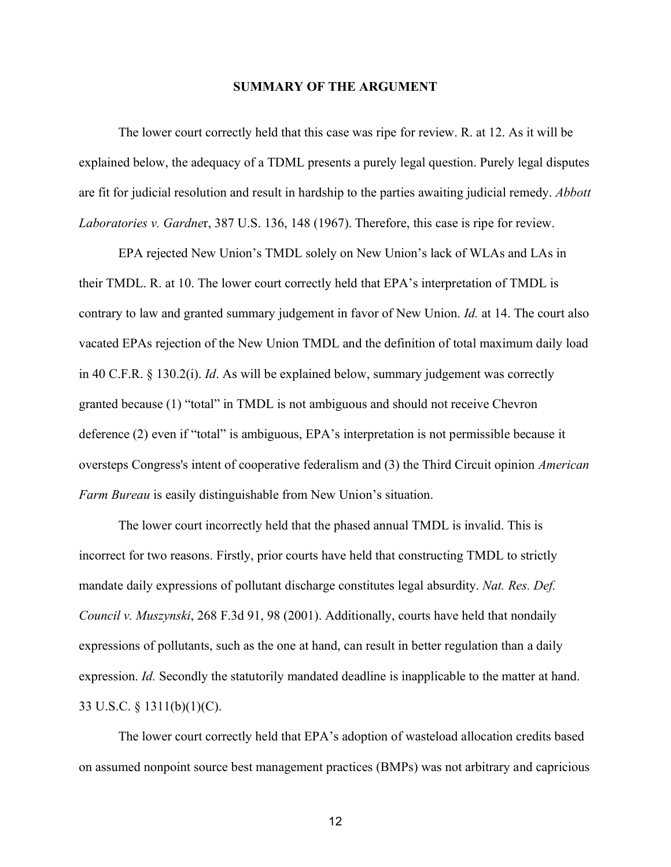#### **SUMMARY OF THE ARGUMENT**

<span id="page-12-0"></span>The lower court correctly held that this case was ripe for review. R. at 12. As it will be explained below, the adequacy of a TDML presents a purely legal question. Purely legal disputes are fit for judicial resolution and result in hardship to the parties awaiting judicial remedy. *Abbott Laboratories v. Gardne*r, 387 U.S. 136, 148 (1967). Therefore, this case is ripe for review.

EPA rejected New Union's TMDL solely on New Union's lack of WLAs and LAs in their TMDL. R. at 10. The lower court correctly held that EPA's interpretation of TMDL is contrary to law and granted summary judgement in favor of New Union. *Id.* at 14. The court also vacated EPAs rejection of the New Union TMDL and the definition of total maximum daily load in 40 C.F.R. § 130.2(i). *Id*. As will be explained below, summary judgement was correctly granted because (1) "total" in TMDL is not ambiguous and should not receive Chevron deference (2) even if "total" is ambiguous, EPA's interpretation is not permissible because it oversteps Congress's intent of cooperative federalism and (3) the Third Circuit opinion *American Farm Bureau* is easily distinguishable from New Union's situation.

The lower court incorrectly held that the phased annual TMDL is invalid. This is incorrect for two reasons. Firstly, prior courts have held that constructing TMDL to strictly mandate daily expressions of pollutant discharge constitutes legal absurdity. *Nat. Res. Def. Council v. Muszynski*, 268 F.3d 91, 98 (2001). Additionally, courts have held that nondaily expressions of pollutants, such as the one at hand, can result in better regulation than a daily expression. *Id.* Secondly the statutorily mandated deadline is inapplicable to the matter at hand. 33 U.S.C. § 1311(b)(1)(C).

The lower court correctly held that EPA's adoption of wasteload allocation credits based on assumed nonpoint source best management practices (BMPs) was not arbitrary and capricious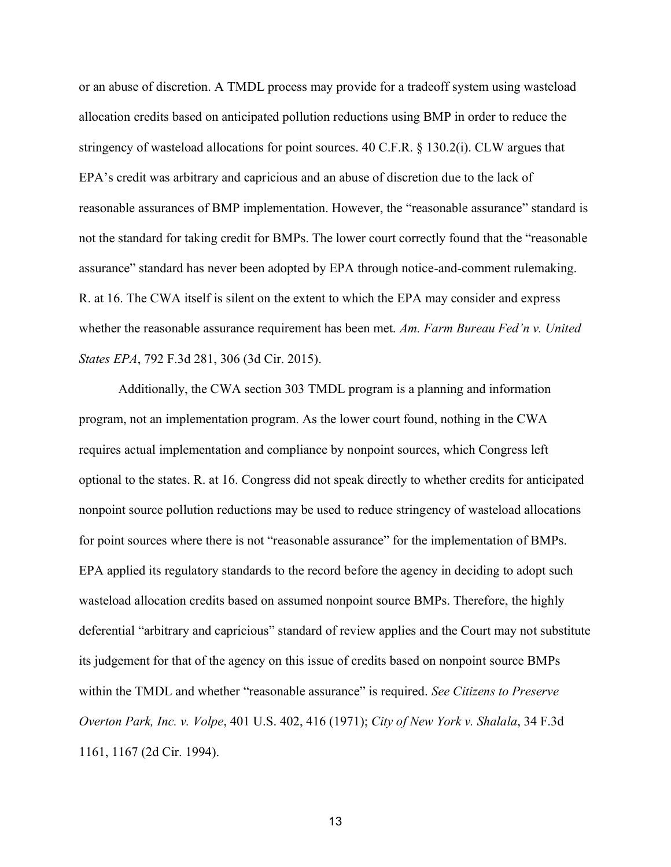or an abuse of discretion. A TMDL process may provide for a tradeoff system using wasteload allocation credits based on anticipated pollution reductions using BMP in order to reduce the stringency of wasteload allocations for point sources. 40 C.F.R. § 130.2(i). CLW argues that EPA's credit was arbitrary and capricious and an abuse of discretion due to the lack of reasonable assurances of BMP implementation. However, the "reasonable assurance" standard is not the standard for taking credit for BMPs. The lower court correctly found that the "reasonable assurance" standard has never been adopted by EPA through notice-and-comment rulemaking. R. at 16. The CWA itself is silent on the extent to which the EPA may consider and express whether the reasonable assurance requirement has been met. *Am. Farm Bureau Fed'n v. United States EPA*, 792 F.3d 281, 306 (3d Cir. 2015).

Additionally, the CWA section 303 TMDL program is a planning and information program, not an implementation program. As the lower court found, nothing in the CWA requires actual implementation and compliance by nonpoint sources, which Congress left optional to the states. R. at 16. Congress did not speak directly to whether credits for anticipated nonpoint source pollution reductions may be used to reduce stringency of wasteload allocations for point sources where there is not "reasonable assurance" for the implementation of BMPs. EPA applied its regulatory standards to the record before the agency in deciding to adopt such wasteload allocation credits based on assumed nonpoint source BMPs. Therefore, the highly deferential "arbitrary and capricious" standard of review applies and the Court may not substitute its judgement for that of the agency on this issue of credits based on nonpoint source BMPs within the TMDL and whether "reasonable assurance" is required. *See Citizens to Preserve Overton Park, Inc. v. Volpe*, 401 U.S. 402, 416 (1971); *City of New York v. Shalala*, 34 F.3d 1161, 1167 (2d Cir. 1994).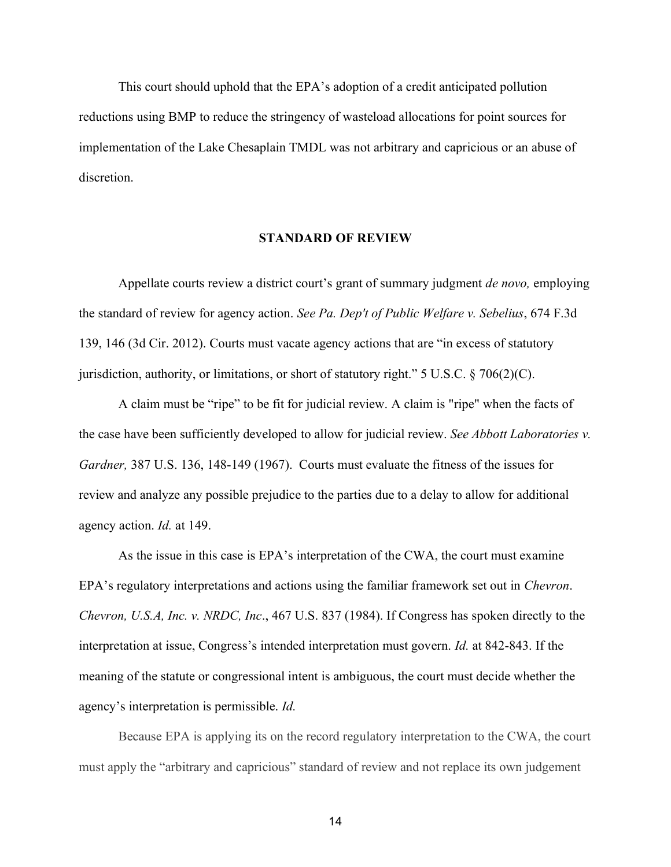This court should uphold that the EPA's adoption of a credit anticipated pollution reductions using BMP to reduce the stringency of wasteload allocations for point sources for implementation of the Lake Chesaplain TMDL was not arbitrary and capricious or an abuse of discretion.

#### **STANDARD OF REVIEW**

<span id="page-14-0"></span>Appellate courts review a district court's grant of summary judgment *de novo,* employing the standard of review for agency action. *See Pa. Dep't of Public Welfare v. Sebelius*, 674 F.3d 139, 146 (3d Cir. 2012). Courts must vacate agency actions that are "in excess of statutory jurisdiction, authority, or limitations, or short of statutory right." 5 U.S.C. § 706(2)(C).

A claim must be "ripe" to be fit for judicial review. A claim is "ripe" when the facts of the case have been sufficiently developed to allow for judicial review. *See Abbott Laboratories v. Gardner,* 387 U.S. 136, 148-149 (1967). Courts must evaluate the fitness of the issues for review and analyze any possible prejudice to the parties due to a delay to allow for additional agency action. *Id.* at 149.

As the issue in this case is EPA's interpretation of the CWA, the court must examine EPA's regulatory interpretations and actions using the familiar framework set out in *Chevron*. *Chevron, U.S.A, Inc. v. NRDC, Inc*., 467 U.S. 837 (1984). If Congress has spoken directly to the interpretation at issue, Congress's intended interpretation must govern. *Id.* at 842-843. If the meaning of the statute or congressional intent is ambiguous, the court must decide whether the agency's interpretation is permissible. *Id.*

Because EPA is applying its on the record regulatory interpretation to the CWA, the court must apply the "arbitrary and capricious" standard of review and not replace its own judgement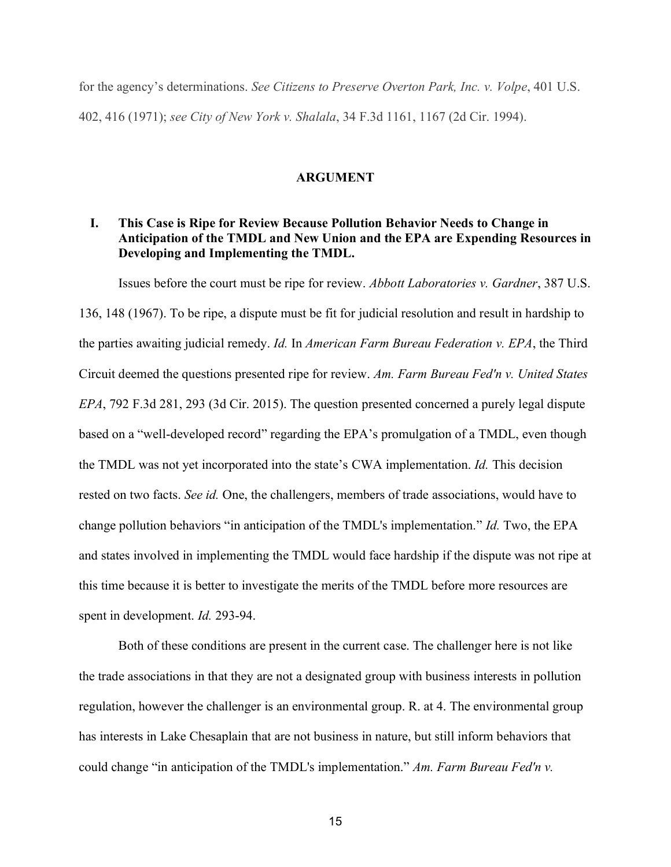for the agency's determinations. *See Citizens to Preserve Overton Park, Inc. v. Volpe*, 401 U.S. 402, 416 (1971); *see City of New York v. Shalala*, 34 F.3d 1161, 1167 (2d Cir. 1994).

#### **ARGUMENT**

### <span id="page-15-1"></span><span id="page-15-0"></span>**I. This Case is Ripe for Review Because Pollution Behavior Needs to Change in Anticipation of the TMDL and New Union and the EPA are Expending Resources in Developing and Implementing the TMDL.**

Issues before the court must be ripe for review. *Abbott Laboratories v. Gardner*, 387 U.S.

136, 148 (1967). To be ripe, a dispute must be fit for judicial resolution and result in hardship to the parties awaiting judicial remedy. *Id.* In *American Farm Bureau Federation v. EPA*, the Third Circuit deemed the questions presented ripe for review. *Am. Farm Bureau Fed'n v. United States EPA*, 792 F.3d 281, 293 (3d Cir. 2015). The question presented concerned a purely legal dispute based on a "well-developed record" regarding the EPA's promulgation of a TMDL, even though the TMDL was not yet incorporated into the state's CWA implementation. *Id.* This decision rested on two facts. *See id.* One, the challengers, members of trade associations, would have to change pollution behaviors "in anticipation of the TMDL's implementation." *Id.* Two, the EPA and states involved in implementing the TMDL would face hardship if the dispute was not ripe at this time because it is better to investigate the merits of the TMDL before more resources are spent in development. *Id.* 293-94.

Both of these conditions are present in the current case. The challenger here is not like the trade associations in that they are not a designated group with business interests in pollution regulation, however the challenger is an environmental group. R. at 4. The environmental group has interests in Lake Chesaplain that are not business in nature, but still inform behaviors that could change "in anticipation of the TMDL's implementation." *Am. Farm Bureau Fed'n v.*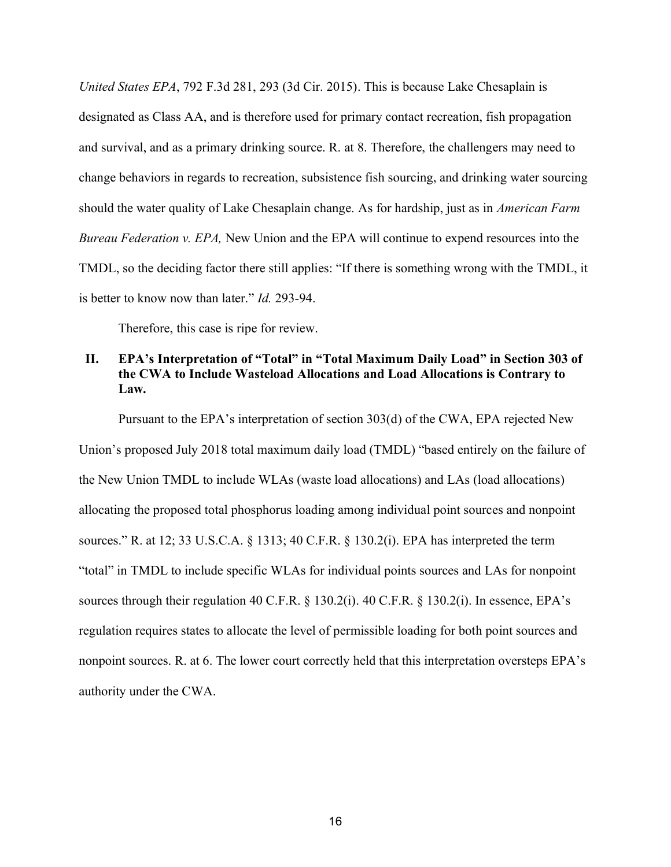*United States EPA*, 792 F.3d 281, 293 (3d Cir. 2015). This is because Lake Chesaplain is designated as Class AA, and is therefore used for primary contact recreation, fish propagation and survival, and as a primary drinking source. R. at 8. Therefore, the challengers may need to change behaviors in regards to recreation, subsistence fish sourcing, and drinking water sourcing should the water quality of Lake Chesaplain change. As for hardship, just as in *American Farm Bureau Federation v. EPA,* New Union and the EPA will continue to expend resources into the TMDL, so the deciding factor there still applies: "If there is something wrong with the TMDL, it is better to know now than later." *Id.* 293-94.

Therefore, this case is ripe for review.

### <span id="page-16-0"></span>**II. EPA's Interpretation of "Total" in "Total Maximum Daily Load" in Section 303 of the CWA to Include Wasteload Allocations and Load Allocations is Contrary to Law.**

Pursuant to the EPA's interpretation of section 303(d) of the CWA, EPA rejected New

Union's proposed July 2018 total maximum daily load (TMDL) "based entirely on the failure of the New Union TMDL to include WLAs (waste load allocations) and LAs (load allocations) allocating the proposed total phosphorus loading among individual point sources and nonpoint sources." R. at 12; 33 U.S.C.A. § 1313; 40 C.F.R. § 130.2(i). EPA has interpreted the term "total" in TMDL to include specific WLAs for individual points sources and LAs for nonpoint sources through their regulation 40 C.F.R. § 130.2(i). 40 C.F.R. § 130.2(i). In essence, EPA's regulation requires states to allocate the level of permissible loading for both point sources and nonpoint sources. R. at 6. The lower court correctly held that this interpretation oversteps EPA's authority under the CWA.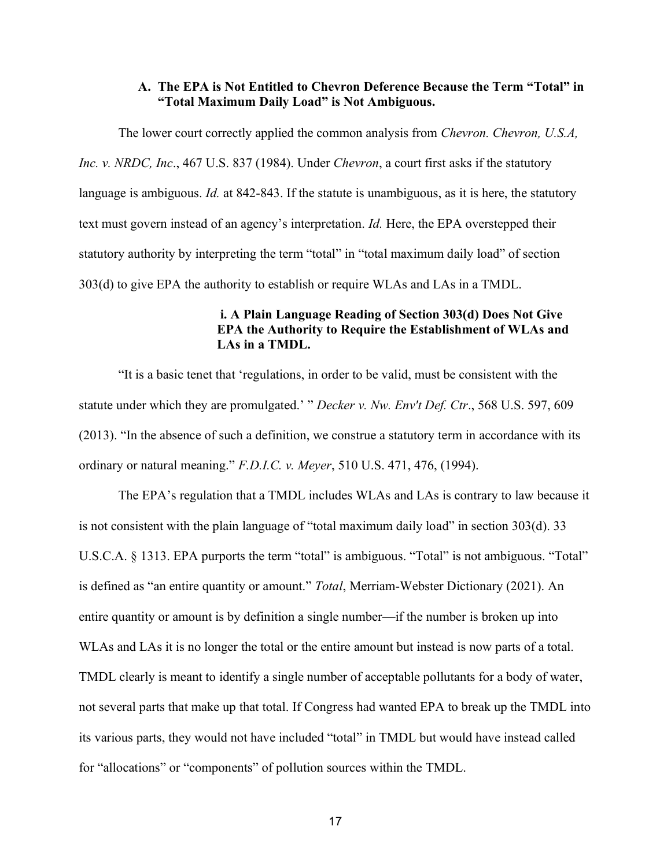### **A. The EPA is Not Entitled to Chevron Deference Because the Term "Total" in "Total Maximum Daily Load" is Not Ambiguous.**

<span id="page-17-0"></span>The lower court correctly applied the common analysis from *Chevron. Chevron, U.S.A, Inc. v. NRDC, Inc*., 467 U.S. 837 (1984). Under *Chevron*, a court first asks if the statutory language is ambiguous. *Id.* at 842-843. If the statute is unambiguous, as it is here, the statutory text must govern instead of an agency's interpretation. *Id.* Here, the EPA overstepped their statutory authority by interpreting the term "total" in "total maximum daily load" of section 303(d) to give EPA the authority to establish or require WLAs and LAs in a TMDL.

### <span id="page-17-1"></span>**i. A Plain Language Reading of Section 303(d) Does Not Give EPA the Authority to Require the Establishment of WLAs and LAs in a TMDL.**

"It is a basic tenet that 'regulations, in order to be valid, must be consistent with the statute under which they are promulgated.' " *Decker v. Nw. Env't Def. Ctr*., 568 U.S. 597, 609 (2013). "In the absence of such a definition, we construe a statutory term in accordance with its ordinary or natural meaning." *F.D.I.C. v. Meyer*, 510 U.S. 471, 476, (1994).

The EPA's regulation that a TMDL includes WLAs and LAs is contrary to law because it is not consistent with the plain language of "total maximum daily load" in section 303(d). 33 U.S.C.A. § 1313. EPA purports the term "total" is ambiguous. "Total" is not ambiguous. "Total" is defined as "an entire quantity or amount." *Total*, Merriam-Webster Dictionary (2021). An entire quantity or amount is by definition a single number—if the number is broken up into WLAs and LAs it is no longer the total or the entire amount but instead is now parts of a total. TMDL clearly is meant to identify a single number of acceptable pollutants for a body of water, not several parts that make up that total. If Congress had wanted EPA to break up the TMDL into its various parts, they would not have included "total" in TMDL but would have instead called for "allocations" or "components" of pollution sources within the TMDL.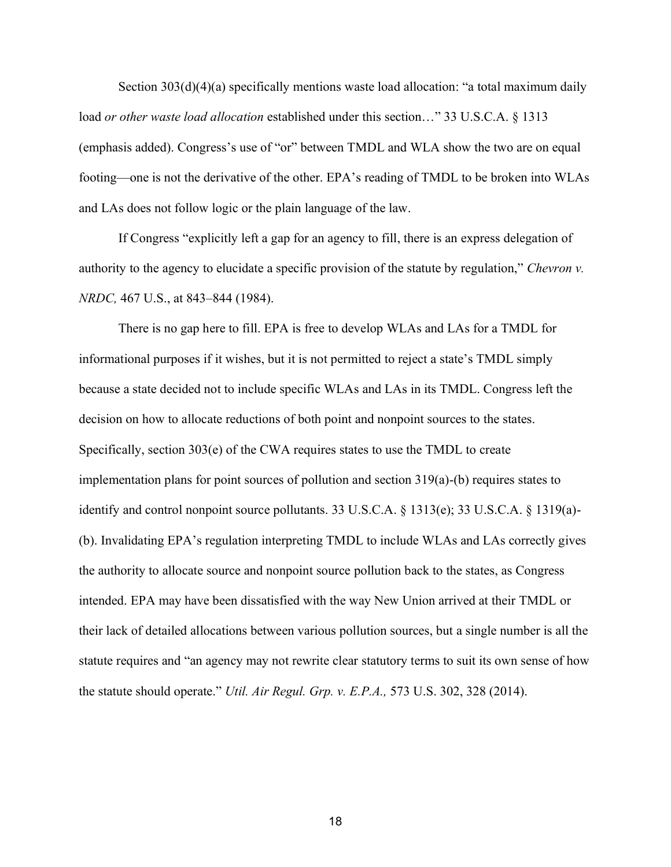Section 303(d)(4)(a) specifically mentions waste load allocation: "a total maximum daily load *or other waste load allocation* established under this section…" 33 U.S.C.A. § 1313 (emphasis added). Congress's use of "or" between TMDL and WLA show the two are on equal footing—one is not the derivative of the other. EPA's reading of TMDL to be broken into WLAs and LAs does not follow logic or the plain language of the law.

If Congress "explicitly left a gap for an agency to fill, there is an express delegation of authority to the agency to elucidate a specific provision of the statute by regulation," *Chevron v. NRDC,* 467 U.S., at 843–844 (1984).

There is no gap here to fill. EPA is free to develop WLAs and LAs for a TMDL for informational purposes if it wishes, but it is not permitted to reject a state's TMDL simply because a state decided not to include specific WLAs and LAs in its TMDL. Congress left the decision on how to allocate reductions of both point and nonpoint sources to the states. Specifically, section 303(e) of the CWA requires states to use the TMDL to create implementation plans for point sources of pollution and section 319(a)-(b) requires states to identify and control nonpoint source pollutants. 33 U.S.C.A. § 1313(e); 33 U.S.C.A. § 1319(a)- (b). Invalidating EPA's regulation interpreting TMDL to include WLAs and LAs correctly gives the authority to allocate source and nonpoint source pollution back to the states, as Congress intended. EPA may have been dissatisfied with the way New Union arrived at their TMDL or their lack of detailed allocations between various pollution sources, but a single number is all the statute requires and "an agency may not rewrite clear statutory terms to suit its own sense of how the statute should operate." *Util. Air Regul. Grp. v. E.P.A.,* 573 U.S. 302, 328 (2014).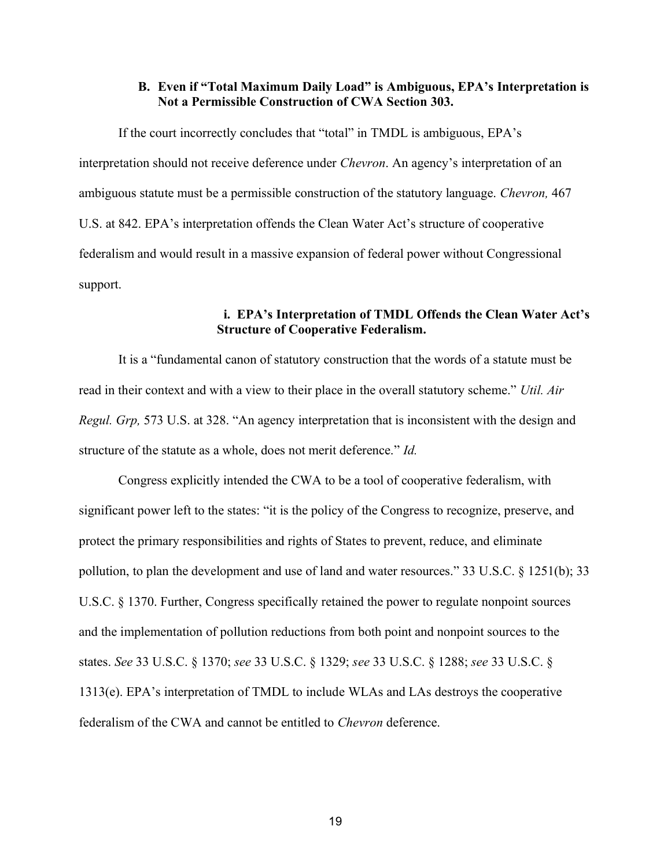### **B. Even if "Total Maximum Daily Load" is Ambiguous, EPA's Interpretation is Not a Permissible Construction of CWA Section 303.**

<span id="page-19-0"></span>If the court incorrectly concludes that "total" in TMDL is ambiguous, EPA's interpretation should not receive deference under *Chevron*. An agency's interpretation of an ambiguous statute must be a permissible construction of the statutory language. *Chevron,* 467 U.S. at 842. EPA's interpretation offends the Clean Water Act's structure of cooperative federalism and would result in a massive expansion of federal power without Congressional support.

### <span id="page-19-1"></span> **i. EPA's Interpretation of TMDL Offends the Clean Water Act's Structure of Cooperative Federalism.**

It is a "fundamental canon of statutory construction that the words of a statute must be read in their context and with a view to their place in the overall statutory scheme." *Util. Air Regul. Grp,* 573 U.S. at 328. "An agency interpretation that is inconsistent with the design and structure of the statute as a whole, does not merit deference." *Id.*

Congress explicitly intended the CWA to be a tool of cooperative federalism, with significant power left to the states: "it is the policy of the Congress to recognize, preserve, and protect the primary responsibilities and rights of States to prevent, reduce, and eliminate pollution, to plan the development and use of land and water resources." 33 U.S.C. § 1251(b); 33 U.S.C. § 1370. Further, Congress specifically retained the power to regulate nonpoint sources and the implementation of pollution reductions from both point and nonpoint sources to the states. *See* 33 U.S.C. § 1370; *see* 33 U.S.C. § 1329; *see* 33 U.S.C. § 1288; *see* 33 U.S.C. § 1313(e). EPA's interpretation of TMDL to include WLAs and LAs destroys the cooperative federalism of the CWA and cannot be entitled to *Chevron* deference.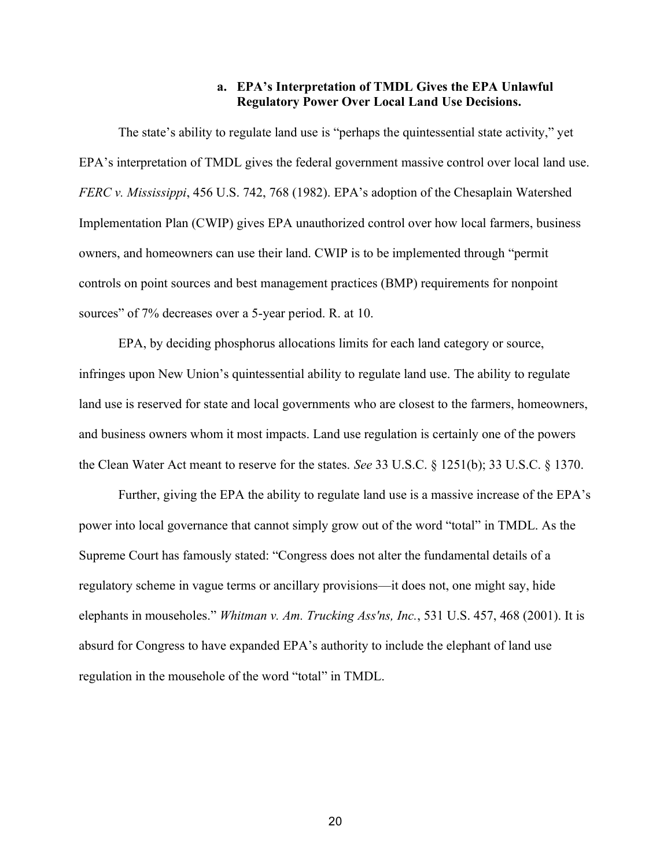### **a. EPA's Interpretation of TMDL Gives the EPA Unlawful Regulatory Power Over Local Land Use Decisions.**

<span id="page-20-0"></span>The state's ability to regulate land use is "perhaps the quintessential state activity," yet EPA's interpretation of TMDL gives the federal government massive control over local land use. *FERC v. Mississippi*, 456 U.S. 742, 768 (1982). EPA's adoption of the Chesaplain Watershed Implementation Plan (CWIP) gives EPA unauthorized control over how local farmers, business owners, and homeowners can use their land. CWIP is to be implemented through "permit controls on point sources and best management practices (BMP) requirements for nonpoint sources" of 7% decreases over a 5-year period. R. at 10.

EPA, by deciding phosphorus allocations limits for each land category or source, infringes upon New Union's quintessential ability to regulate land use. The ability to regulate land use is reserved for state and local governments who are closest to the farmers, homeowners, and business owners whom it most impacts. Land use regulation is certainly one of the powers the Clean Water Act meant to reserve for the states. *See* 33 U.S.C. § 1251(b); 33 U.S.C. § 1370.

Further, giving the EPA the ability to regulate land use is a massive increase of the EPA's power into local governance that cannot simply grow out of the word "total" in TMDL. As the Supreme Court has famously stated: "Congress does not alter the fundamental details of a regulatory scheme in vague terms or ancillary provisions—it does not, one might say, hide elephants in mouseholes." *Whitman v. Am. Trucking Ass'ns, Inc.*, 531 U.S. 457, 468 (2001). It is absurd for Congress to have expanded EPA's authority to include the elephant of land use regulation in the mousehole of the word "total" in TMDL.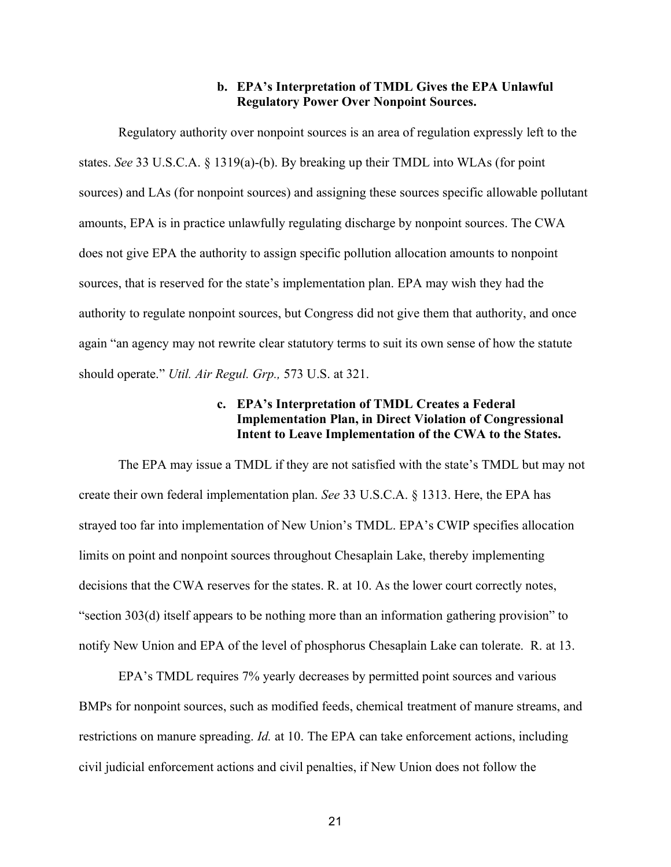### **b. EPA's Interpretation of TMDL Gives the EPA Unlawful Regulatory Power Over Nonpoint Sources.**

<span id="page-21-0"></span>Regulatory authority over nonpoint sources is an area of regulation expressly left to the states. *See* 33 U.S.C.A. § 1319(a)-(b). By breaking up their TMDL into WLAs (for point sources) and LAs (for nonpoint sources) and assigning these sources specific allowable pollutant amounts, EPA is in practice unlawfully regulating discharge by nonpoint sources. The CWA does not give EPA the authority to assign specific pollution allocation amounts to nonpoint sources, that is reserved for the state's implementation plan. EPA may wish they had the authority to regulate nonpoint sources, but Congress did not give them that authority, and once again "an agency may not rewrite clear statutory terms to suit its own sense of how the statute should operate." *Util. Air Regul. Grp.,* 573 U.S. at 321.

### **c. EPA's Interpretation of TMDL Creates a Federal Implementation Plan, in Direct Violation of Congressional Intent to Leave Implementation of the CWA to the States.**

<span id="page-21-1"></span>The EPA may issue a TMDL if they are not satisfied with the state's TMDL but may not create their own federal implementation plan. *See* 33 U.S.C.A. § 1313. Here, the EPA has strayed too far into implementation of New Union's TMDL. EPA's CWIP specifies allocation limits on point and nonpoint sources throughout Chesaplain Lake, thereby implementing decisions that the CWA reserves for the states. R. at 10. As the lower court correctly notes, "section 303(d) itself appears to be nothing more than an information gathering provision" to notify New Union and EPA of the level of phosphorus Chesaplain Lake can tolerate. R. at 13.

EPA's TMDL requires 7% yearly decreases by permitted point sources and various BMPs for nonpoint sources, such as modified feeds, chemical treatment of manure streams, and restrictions on manure spreading. *Id.* at 10. The EPA can take enforcement actions, including civil judicial enforcement actions and civil penalties, if New Union does not follow the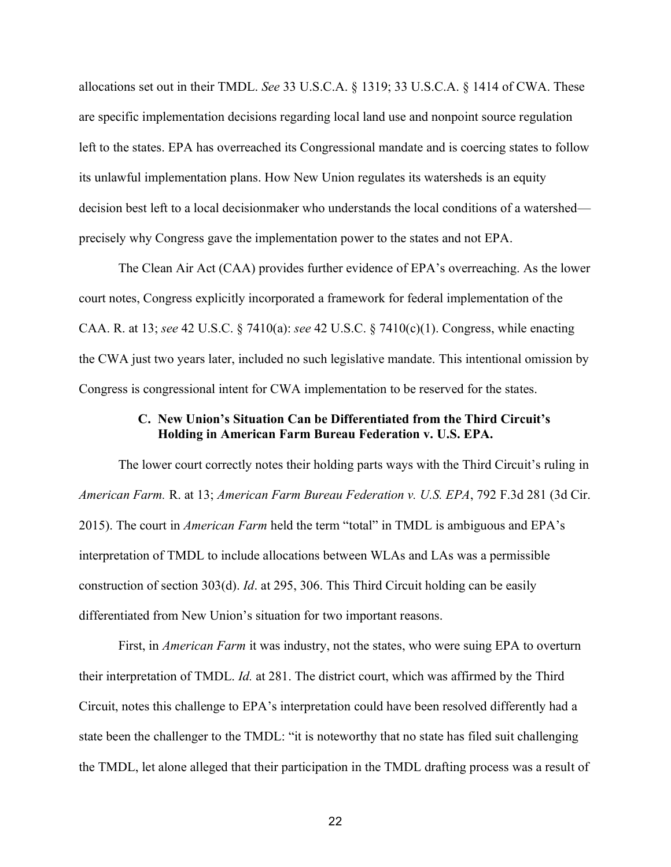allocations set out in their TMDL. *See* 33 U.S.C.A. § 1319; 33 U.S.C.A. § 1414 of CWA. These are specific implementation decisions regarding local land use and nonpoint source regulation left to the states. EPA has overreached its Congressional mandate and is coercing states to follow its unlawful implementation plans. How New Union regulates its watersheds is an equity decision best left to a local decisionmaker who understands the local conditions of a watershed precisely why Congress gave the implementation power to the states and not EPA.

The Clean Air Act (CAA) provides further evidence of EPA's overreaching. As the lower court notes, Congress explicitly incorporated a framework for federal implementation of the CAA. R. at 13; *see* 42 U.S.C. § 7410(a): *see* 42 U.S.C. § 7410(c)(1). Congress, while enacting the CWA just two years later, included no such legislative mandate. This intentional omission by Congress is congressional intent for CWA implementation to be reserved for the states.

### **C. New Union's Situation Can be Differentiated from the Third Circuit's Holding in American Farm Bureau Federation v. U.S. EPA.**

<span id="page-22-0"></span>The lower court correctly notes their holding parts ways with the Third Circuit's ruling in *American Farm.* R. at 13; *American Farm Bureau Federation v. U.S. EPA*, 792 F.3d 281 (3d Cir. 2015). The court in *American Farm* held the term "total" in TMDL is ambiguous and EPA's interpretation of TMDL to include allocations between WLAs and LAs was a permissible construction of section 303(d). *Id*. at 295, 306. This Third Circuit holding can be easily differentiated from New Union's situation for two important reasons.

First, in *American Farm* it was industry, not the states, who were suing EPA to overturn their interpretation of TMDL. *Id.* at 281. The district court, which was affirmed by the Third Circuit, notes this challenge to EPA's interpretation could have been resolved differently had a state been the challenger to the TMDL: "it is noteworthy that no state has filed suit challenging the TMDL, let alone alleged that their participation in the TMDL drafting process was a result of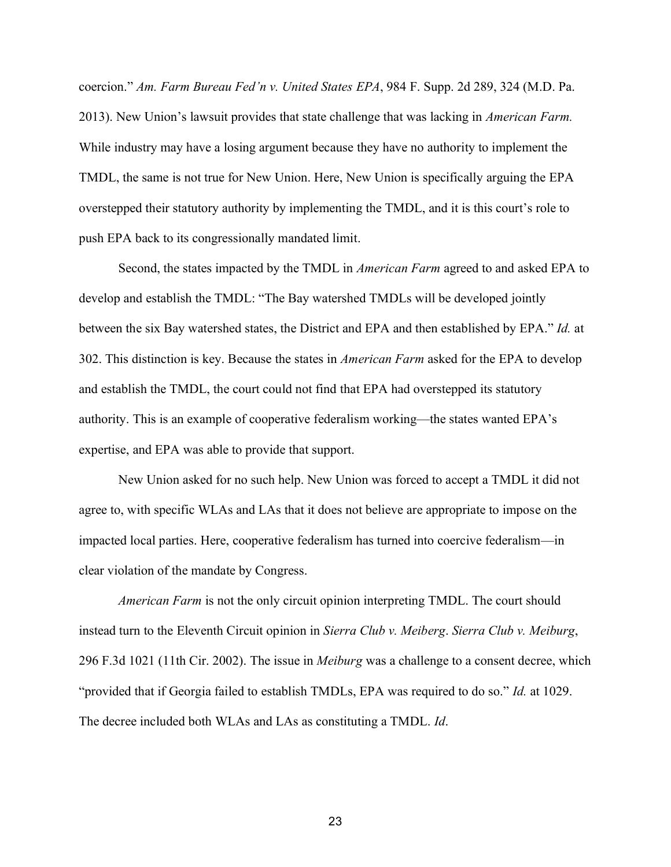coercion." *Am. Farm Bureau Fed'n v. United States EPA*, 984 F. Supp. 2d 289, 324 (M.D. Pa. 2013). New Union's lawsuit provides that state challenge that was lacking in *American Farm.*  While industry may have a losing argument because they have no authority to implement the TMDL, the same is not true for New Union. Here, New Union is specifically arguing the EPA overstepped their statutory authority by implementing the TMDL, and it is this court's role to push EPA back to its congressionally mandated limit.

 Second, the states impacted by the TMDL in *American Farm* agreed to and asked EPA to develop and establish the TMDL: "The Bay watershed TMDLs will be developed jointly between the six Bay watershed states, the District and EPA and then established by EPA." *Id.* at 302. This distinction is key. Because the states in *American Farm* asked for the EPA to develop and establish the TMDL, the court could not find that EPA had overstepped its statutory authority. This is an example of cooperative federalism working—the states wanted EPA's expertise, and EPA was able to provide that support.

New Union asked for no such help. New Union was forced to accept a TMDL it did not agree to, with specific WLAs and LAs that it does not believe are appropriate to impose on the impacted local parties. Here, cooperative federalism has turned into coercive federalism—in clear violation of the mandate by Congress.

 *American Farm* is not the only circuit opinion interpreting TMDL. The court should instead turn to the Eleventh Circuit opinion in *Sierra Club v. Meiberg*. *Sierra Club v. Meiburg*, 296 F.3d 1021 (11th Cir. 2002). The issue in *Meiburg* was a challenge to a consent decree, which "provided that if Georgia failed to establish TMDLs, EPA was required to do so." *Id.* at 1029. The decree included both WLAs and LAs as constituting a TMDL. *Id*.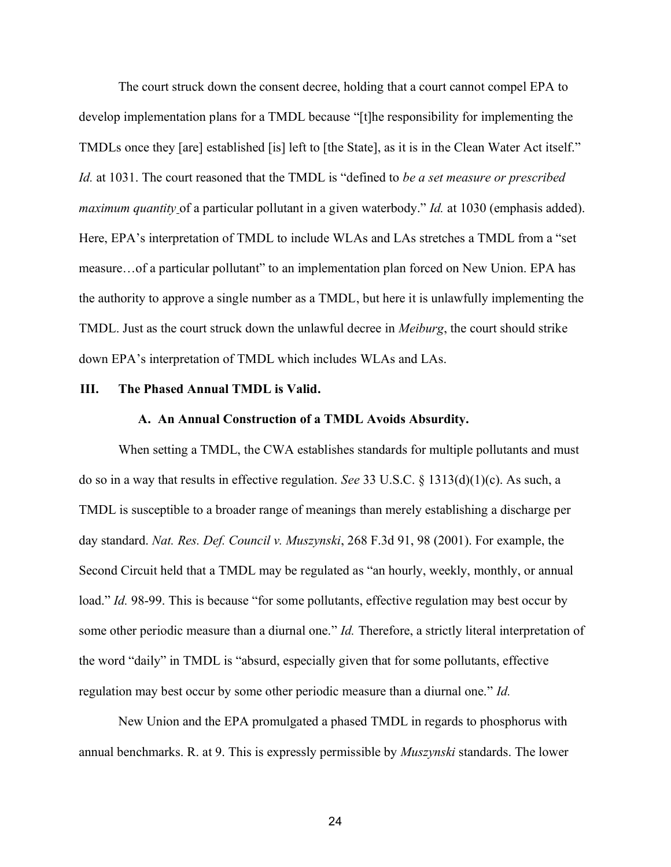The court struck down the consent decree, holding that a court cannot compel EPA to develop implementation plans for a TMDL because "[t]he responsibility for implementing the TMDLs once they [are] established [is] left to [the State], as it is in the Clean Water Act itself." *Id.* at 1031. The court reasoned that the TMDL is "defined to *be a set measure or prescribed maximum quantity* of a particular pollutant in a given waterbody." *Id.* at 1030 (emphasis added). Here, EPA's interpretation of TMDL to include WLAs and LAs stretches a TMDL from a "set measure…of a particular pollutant" to an implementation plan forced on New Union. EPA has the authority to approve a single number as a TMDL, but here it is unlawfully implementing the TMDL. Just as the court struck down the unlawful decree in *Meiburg*, the court should strike down EPA's interpretation of TMDL which includes WLAs and LAs.

#### <span id="page-24-1"></span><span id="page-24-0"></span>**III. The Phased Annual TMDL is Valid.**

### **A. An Annual Construction of a TMDL Avoids Absurdity.**

When setting a TMDL, the CWA establishes standards for multiple pollutants and must do so in a way that results in effective regulation. *See* 33 U.S.C. § 1313(d)(1)(c). As such, a TMDL is susceptible to a broader range of meanings than merely establishing a discharge per day standard. *Nat. Res. Def. Council v. Muszynski*, 268 F.3d 91, 98 (2001). For example, the Second Circuit held that a TMDL may be regulated as "an hourly, weekly, monthly, or annual load." *Id.* 98-99. This is because "for some pollutants, effective regulation may best occur by some other periodic measure than a diurnal one." *Id.* Therefore, a strictly literal interpretation of the word "daily" in TMDL is "absurd, especially given that for some pollutants, effective regulation may best occur by some other periodic measure than a diurnal one." *Id.* 

New Union and the EPA promulgated a phased TMDL in regards to phosphorus with annual benchmarks. R. at 9. This is expressly permissible by *Muszynski* standards. The lower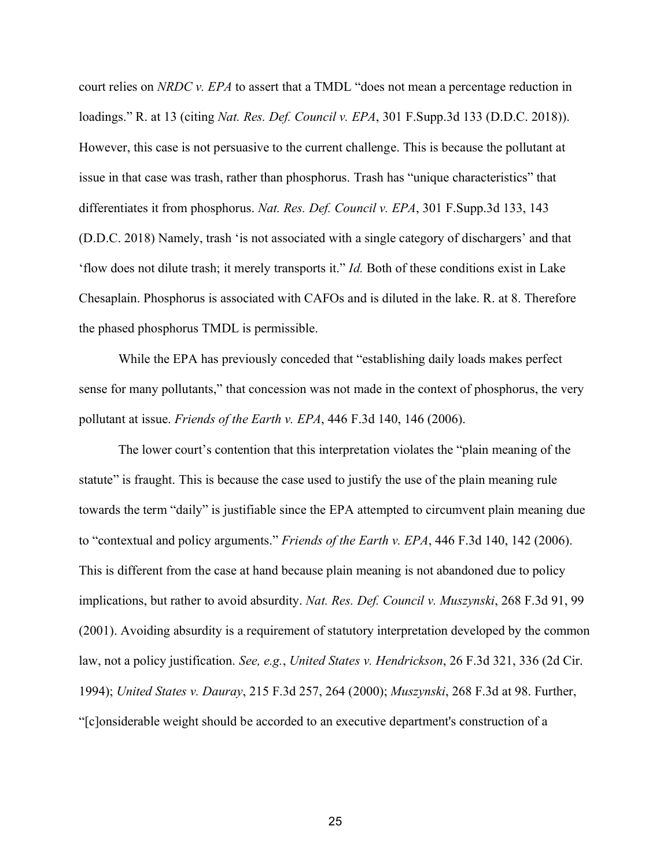court relies on *NRDC v. EPA* to assert that a TMDL "does not mean a percentage reduction in loadings." R. at 13 (citing *Nat. Res. Def. Council v. EPA*, 301 F.Supp.3d 133 (D.D.C. 2018)). However, this case is not persuasive to the current challenge. This is because the pollutant at issue in that case was trash, rather than phosphorus. Trash has "unique characteristics" that differentiates it from phosphorus. *Nat. Res. Def. Council v. EPA*, 301 F.Supp.3d 133, 143 (D.D.C. 2018) Namely, trash 'is not associated with a single category of dischargers' and that 'flow does not dilute trash; it merely transports it." *Id.* Both of these conditions exist in Lake Chesaplain. Phosphorus is associated with CAFOs and is diluted in the lake. R. at 8. Therefore the phased phosphorus TMDL is permissible.

While the EPA has previously conceded that "establishing daily loads makes perfect sense for many pollutants," that concession was not made in the context of phosphorus, the very pollutant at issue. *Friends of the Earth v. EPA*, 446 F.3d 140, 146 (2006).

The lower court's contention that this interpretation violates the "plain meaning of the statute" is fraught. This is because the case used to justify the use of the plain meaning rule towards the term "daily" is justifiable since the EPA attempted to circumvent plain meaning due to "contextual and policy arguments." *Friends of the Earth v. EPA*, 446 F.3d 140, 142 (2006). This is different from the case at hand because plain meaning is not abandoned due to policy implications, but rather to avoid absurdity. *Nat. Res. Def. Council v. Muszynski*, 268 F.3d 91, 99 (2001). Avoiding absurdity is a requirement of statutory interpretation developed by the common law, not a policy justification. *See, e.g.*, *United States v. Hendrickson*, 26 F.3d 321, 336 (2d Cir. 1994); *United States v. Dauray*, 215 F.3d 257, 264 (2000); *Muszynski*, 268 F.3d at 98. Further, "[c]onsiderable weight should be accorded to an executive department's construction of a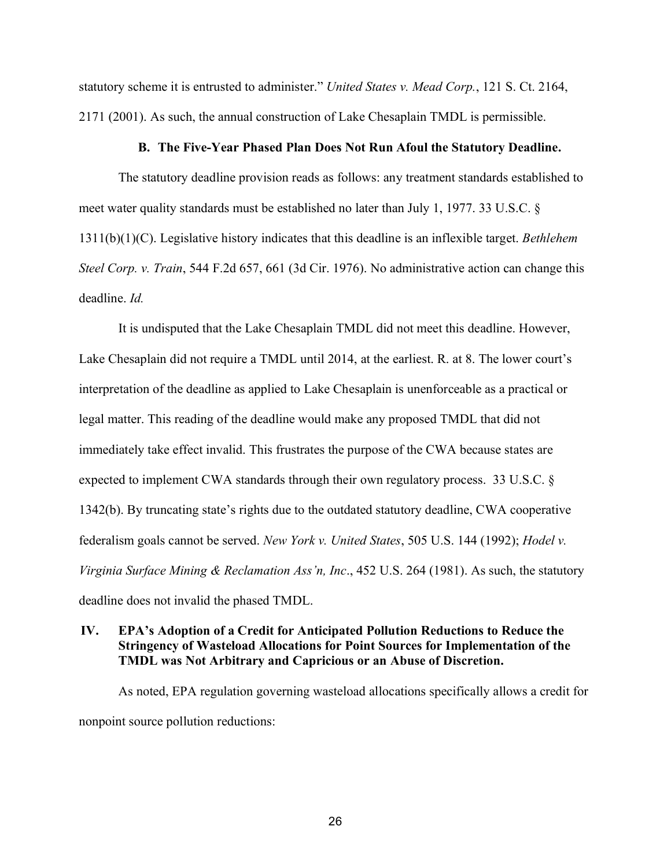statutory scheme it is entrusted to administer." *United States v. Mead Corp.*, 121 S. Ct. 2164, 2171 (2001). As such, the annual construction of Lake Chesaplain TMDL is permissible.

#### **B. The Five-Year Phased Plan Does Not Run Afoul the Statutory Deadline.**

<span id="page-26-0"></span>The statutory deadline provision reads as follows: any treatment standards established to meet water quality standards must be established no later than July 1, 1977. 33 U.S.C. § 1311(b)(1)(C). Legislative history indicates that this deadline is an inflexible target. *Bethlehem Steel Corp. v. Train*, 544 F.2d 657, 661 (3d Cir. 1976). No administrative action can change this deadline. *Id.* 

It is undisputed that the Lake Chesaplain TMDL did not meet this deadline. However, Lake Chesaplain did not require a TMDL until 2014, at the earliest. R. at 8. The lower court's interpretation of the deadline as applied to Lake Chesaplain is unenforceable as a practical or legal matter. This reading of the deadline would make any proposed TMDL that did not immediately take effect invalid. This frustrates the purpose of the CWA because states are expected to implement CWA standards through their own regulatory process. 33 U.S.C. § 1342(b). By truncating state's rights due to the outdated statutory deadline, CWA cooperative federalism goals cannot be served. *New York v. United States*, 505 U.S. 144 (1992); *Hodel v. Virginia Surface Mining & Reclamation Ass'n, Inc*., 452 U.S. 264 (1981). As such, the statutory deadline does not invalid the phased TMDL.

### <span id="page-26-1"></span>**IV. EPA's Adoption of a Credit for Anticipated Pollution Reductions to Reduce the Stringency of Wasteload Allocations for Point Sources for Implementation of the TMDL was Not Arbitrary and Capricious or an Abuse of Discretion.**

As noted, EPA regulation governing wasteload allocations specifically allows a credit for nonpoint source pollution reductions: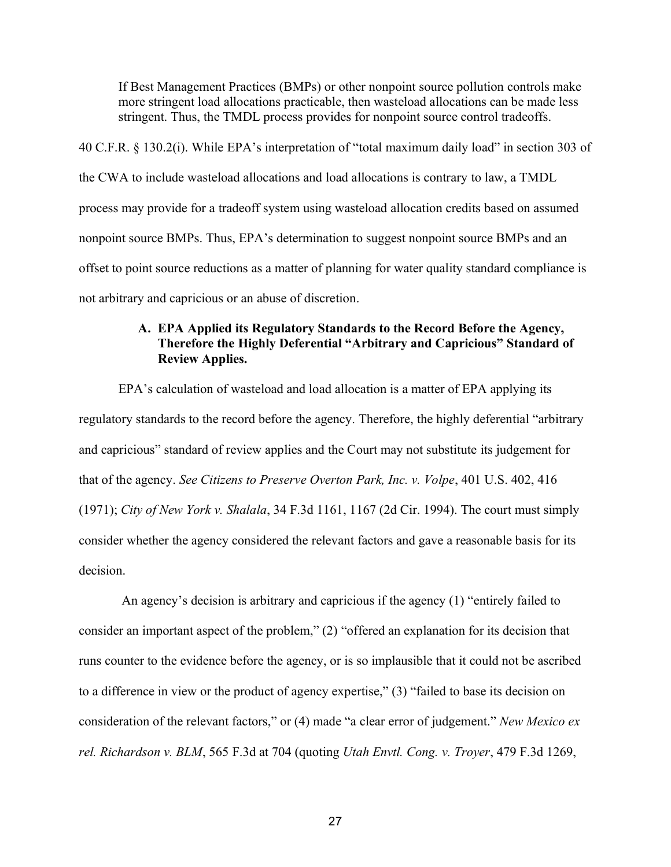If Best Management Practices (BMPs) or other nonpoint source pollution controls make more stringent load allocations practicable, then wasteload allocations can be made less stringent. Thus, the TMDL process provides for nonpoint source control tradeoffs.

40 C.F.R. § 130.2(i). While EPA's interpretation of "total maximum daily load" in section 303 of the CWA to include wasteload allocations and load allocations is contrary to law, a TMDL process may provide for a tradeoff system using wasteload allocation credits based on assumed nonpoint source BMPs. Thus, EPA's determination to suggest nonpoint source BMPs and an offset to point source reductions as a matter of planning for water quality standard compliance is not arbitrary and capricious or an abuse of discretion.

### <span id="page-27-0"></span>**A. EPA Applied its Regulatory Standards to the Record Before the Agency, Therefore the Highly Deferential "Arbitrary and Capricious" Standard of Review Applies.**

EPA's calculation of wasteload and load allocation is a matter of EPA applying its regulatory standards to the record before the agency. Therefore, the highly deferential "arbitrary and capricious" standard of review applies and the Court may not substitute its judgement for that of the agency. *See Citizens to Preserve Overton Park, Inc. v. Volpe*, 401 U.S. 402, 416 (1971); *City of New York v. Shalala*, 34 F.3d 1161, 1167 (2d Cir. 1994). The court must simply consider whether the agency considered the relevant factors and gave a reasonable basis for its decision.

An agency's decision is arbitrary and capricious if the agency (1) "entirely failed to consider an important aspect of the problem," (2) "offered an explanation for its decision that runs counter to the evidence before the agency, or is so implausible that it could not be ascribed to a difference in view or the product of agency expertise," (3) "failed to base its decision on consideration of the relevant factors," or (4) made "a clear error of judgement." *New Mexico ex rel. Richardson v. BLM*, 565 F.3d at 704 (quoting *Utah Envtl. Cong. v. Troyer*, 479 F.3d 1269,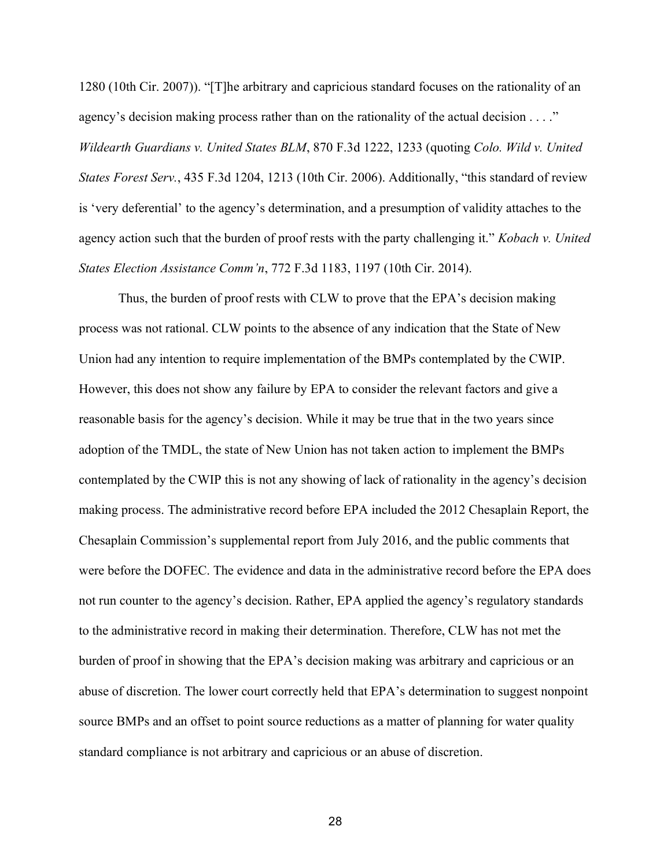1280 (10th Cir. 2007)). "[T]he arbitrary and capricious standard focuses on the rationality of an agency's decision making process rather than on the rationality of the actual decision . . . ." *Wildearth Guardians v. United States BLM*, 870 F.3d 1222, 1233 (quoting *Colo. Wild v. United States Forest Serv.*, 435 F.3d 1204, 1213 (10th Cir. 2006). Additionally, "this standard of review is 'very deferential' to the agency's determination, and a presumption of validity attaches to the agency action such that the burden of proof rests with the party challenging it." *Kobach v. United States Election Assistance Comm'n*, 772 F.3d 1183, 1197 (10th Cir. 2014).

Thus, the burden of proof rests with CLW to prove that the EPA's decision making process was not rational. CLW points to the absence of any indication that the State of New Union had any intention to require implementation of the BMPs contemplated by the CWIP. However, this does not show any failure by EPA to consider the relevant factors and give a reasonable basis for the agency's decision. While it may be true that in the two years since adoption of the TMDL, the state of New Union has not taken action to implement the BMPs contemplated by the CWIP this is not any showing of lack of rationality in the agency's decision making process. The administrative record before EPA included the 2012 Chesaplain Report, the Chesaplain Commission's supplemental report from July 2016, and the public comments that were before the DOFEC. The evidence and data in the administrative record before the EPA does not run counter to the agency's decision. Rather, EPA applied the agency's regulatory standards to the administrative record in making their determination. Therefore, CLW has not met the burden of proof in showing that the EPA's decision making was arbitrary and capricious or an abuse of discretion. The lower court correctly held that EPA's determination to suggest nonpoint source BMPs and an offset to point source reductions as a matter of planning for water quality standard compliance is not arbitrary and capricious or an abuse of discretion.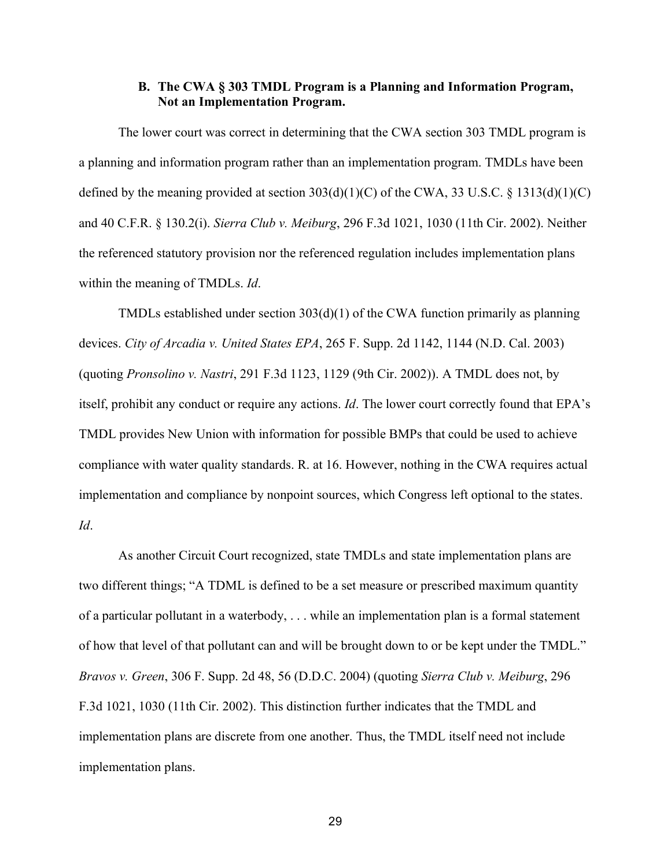### **B. The CWA § 303 TMDL Program is a Planning and Information Program, Not an Implementation Program.**

<span id="page-29-0"></span>The lower court was correct in determining that the CWA section 303 TMDL program is a planning and information program rather than an implementation program. TMDLs have been defined by the meaning provided at section  $303(d)(1)(C)$  of the CWA, 33 U.S.C. § 1313(d)(1)(C) and 40 C.F.R. § 130.2(i). *Sierra Club v. Meiburg*, 296 F.3d 1021, 1030 (11th Cir. 2002). Neither the referenced statutory provision nor the referenced regulation includes implementation plans within the meaning of TMDLs. *Id*.

TMDLs established under section 303(d)(1) of the CWA function primarily as planning devices. *City of Arcadia v. United States EPA*, 265 F. Supp. 2d 1142, 1144 (N.D. Cal. 2003) (quoting *Pronsolino v. Nastri*, 291 F.3d 1123, 1129 (9th Cir. 2002)). A TMDL does not, by itself, prohibit any conduct or require any actions. *Id*. The lower court correctly found that EPA's TMDL provides New Union with information for possible BMPs that could be used to achieve compliance with water quality standards. R. at 16. However, nothing in the CWA requires actual implementation and compliance by nonpoint sources, which Congress left optional to the states. *Id*.

As another Circuit Court recognized, state TMDLs and state implementation plans are two different things; "A TDML is defined to be a set measure or prescribed maximum quantity of a particular pollutant in a waterbody, . . . while an implementation plan is a formal statement of how that level of that pollutant can and will be brought down to or be kept under the TMDL." *Bravos v. Green*, 306 F. Supp. 2d 48, 56 (D.D.C. 2004) (quoting *Sierra Club v. Meiburg*, 296 F.3d 1021, 1030 (11th Cir. 2002). This distinction further indicates that the TMDL and implementation plans are discrete from one another. Thus, the TMDL itself need not include implementation plans.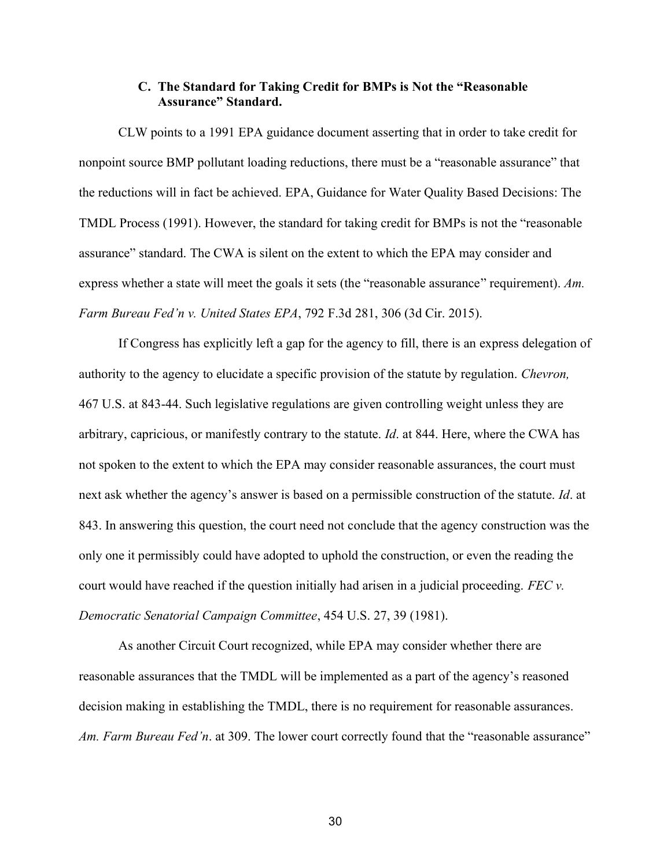### **C. The Standard for Taking Credit for BMPs is Not the "Reasonable Assurance" Standard.**

<span id="page-30-0"></span>CLW points to a 1991 EPA guidance document asserting that in order to take credit for nonpoint source BMP pollutant loading reductions, there must be a "reasonable assurance" that the reductions will in fact be achieved. EPA, Guidance for Water Quality Based Decisions: The TMDL Process (1991). However, the standard for taking credit for BMPs is not the "reasonable assurance" standard. The CWA is silent on the extent to which the EPA may consider and express whether a state will meet the goals it sets (the "reasonable assurance" requirement). *Am. Farm Bureau Fed'n v. United States EPA*, 792 F.3d 281, 306 (3d Cir. 2015).

If Congress has explicitly left a gap for the agency to fill, there is an express delegation of authority to the agency to elucidate a specific provision of the statute by regulation. *Chevron,*  467 U.S. at 843-44. Such legislative regulations are given controlling weight unless they are arbitrary, capricious, or manifestly contrary to the statute. *Id*. at 844. Here, where the CWA has not spoken to the extent to which the EPA may consider reasonable assurances, the court must next ask whether the agency's answer is based on a permissible construction of the statute. *Id*. at 843. In answering this question, the court need not conclude that the agency construction was the only one it permissibly could have adopted to uphold the construction, or even the reading the court would have reached if the question initially had arisen in a judicial proceeding. *FEC v. Democratic Senatorial Campaign Committee*, 454 U.S. 27, 39 (1981).

As another Circuit Court recognized, while EPA may consider whether there are reasonable assurances that the TMDL will be implemented as a part of the agency's reasoned decision making in establishing the TMDL, there is no requirement for reasonable assurances. *Am. Farm Bureau Fed'n*. at 309. The lower court correctly found that the "reasonable assurance"